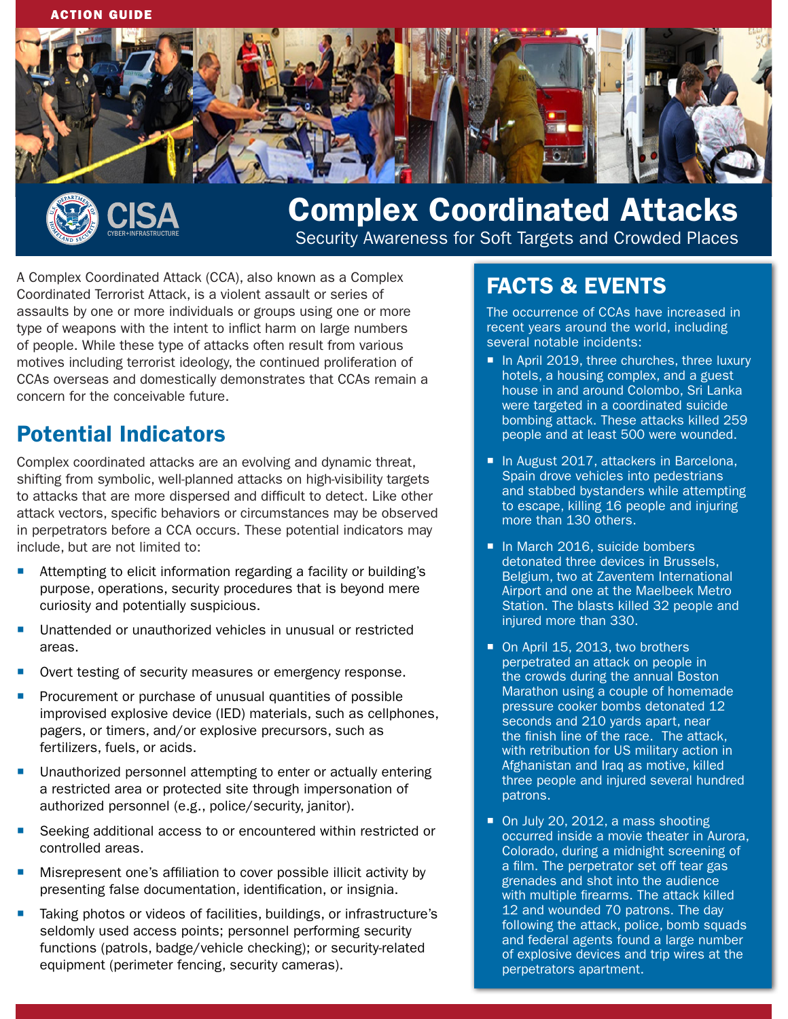



# Complex Coordinated Attacks

Security Awareness for Soft Targets and Crowded Places

A Complex Coordinated Attack (CCA), also known as a Complex Coordinated Terrorist Attack, is a violent assault or series of assaults by one or more individuals or groups using one or more type of weapons with the intent to inflict harm on large numbers of people. While these type of attacks often result from various motives including terrorist ideology, the continued proliferation of CCAs overseas and domestically demonstrates that CCAs remain a concern for the conceivable future.

## Potential Indicators

Complex coordinated attacks are an evolving and dynamic threat, shifting from symbolic, well-planned attacks on high-visibility targets to attacks that are more dispersed and difficult to detect. Like other attack vectors, specific behaviors or circumstances may be observed in perpetrators before a CCA occurs. These potential indicators may include, but are not limited to:

- Attempting to elicit information regarding a facility or building's purpose, operations, security procedures that is beyond mere curiosity and potentially suspicious.
- Unattended or unauthorized vehicles in unusual or restricted areas.
- Overt testing of security measures or emergency response.
- Procurement or purchase of unusual quantities of possible improvised explosive device (IED) materials, such as cellphones, pagers, or timers, and/or explosive precursors, such as fertilizers, fuels, or acids.
- Unauthorized personnel attempting to enter or actually entering a restricted area or protected site through impersonation of authorized personnel (e.g., police/security, janitor).
- Seeking additional access to or encountered within restricted or controlled areas.
- Misrepresent one's affiliation to cover possible illicit activity by presenting false documentation, identification, or insignia.
- Taking photos or videos of facilities, buildings, or infrastructure's seldomly used access points; personnel performing security functions (patrols, badge/vehicle checking); or security-related equipment (perimeter fencing, security cameras).

# FACTS & EVENTS

The occurrence of CCAs have increased in recent years around the world, including several notable incidents:

- In April 2019, three churches, three luxury hotels, a housing complex, and a guest house in and around Colombo, Sri Lanka were targeted in a coordinated suicide bombing attack. These attacks killed 259 people and at least 500 were wounded.
- In August 2017, attackers in Barcelona, Spain drove vehicles into pedestrians and stabbed bystanders while attempting to escape, killing 16 people and injuring more than 130 others.
- In March 2016, suicide bombers detonated three devices in Brussels, Belgium, two at Zaventem International Airport and one at the Maelbeek Metro Station. The blasts killed 32 people and injured more than 330.
- On April 15, 2013, two brothers perpetrated an attack on people in the crowds during the annual Boston Marathon using a couple of homemade pressure cooker bombs detonated 12 seconds and 210 yards apart, near the finish line of the race. The attack, with retribution for US military action in Afghanistan and Iraq as motive, killed three people and injured several hundred patrons.
- On July 20, 2012, a mass shooting occurred inside a movie theater in Aurora, Colorado, during a midnight screening of a film. The perpetrator set off tear gas grenades and shot into the audience with multiple firearms. The attack killed 12 and wounded 70 patrons. The day following the attack, police, bomb squads and federal agents found a large number of explosive devices and trip wires at the perpetrators apartment.